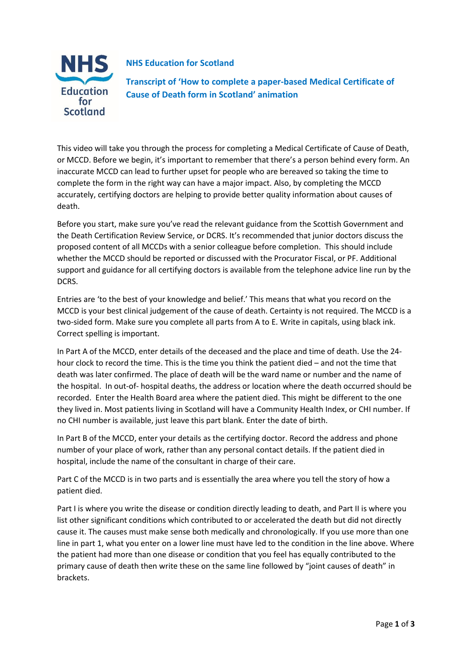

## **NHS Education for Scotland**

**Transcript of 'How to complete a paper-based Medical Certificate of Cause of Death form in Scotland' animation**

This video will take you through the process for completing a Medical Certificate of Cause of Death, or MCCD. Before we begin, it's important to remember that there's a person behind every form. An inaccurate MCCD can lead to further upset for people who are bereaved so taking the time to complete the form in the right way can have a major impact. Also, by completing the MCCD accurately, certifying doctors are helping to provide better quality information about causes of death.

Before you start, make sure you've read the relevant guidance from the Scottish Government and the Death Certification Review Service, or DCRS. It's recommended that junior doctors discuss the proposed content of all MCCDs with a senior colleague before completion. This should include whether the MCCD should be reported or discussed with the Procurator Fiscal, or PF. Additional support and guidance for all certifying doctors is available from the telephone advice line run by the DCRS.

Entries are 'to the best of your knowledge and belief.' This means that what you record on the MCCD is your best clinical judgement of the cause of death. Certainty is not required. The MCCD is a two-sided form. Make sure you complete all parts from A to E. Write in capitals, using black ink. Correct spelling is important.

In Part A of the MCCD, enter details of the deceased and the place and time of death. Use the 24 hour clock to record the time. This is the time you think the patient died – and not the time that death was later confirmed. The place of death will be the ward name or number and the name of the hospital. In out-of- hospital deaths, the address or location where the death occurred should be recorded. Enter the Health Board area where the patient died. This might be different to the one they lived in. Most patients living in Scotland will have a Community Health Index, or CHI number. If no CHI number is available, just leave this part blank. Enter the date of birth.

In Part B of the MCCD, enter your details as the certifying doctor. Record the address and phone number of your place of work, rather than any personal contact details. If the patient died in hospital, include the name of the consultant in charge of their care.

Part C of the MCCD is in two parts and is essentially the area where you tell the story of how a patient died.

Part I is where you write the disease or condition directly leading to death, and Part II is where you list other significant conditions which contributed to or accelerated the death but did not directly cause it. The causes must make sense both medically and chronologically. If you use more than one line in part 1, what you enter on a lower line must have led to the condition in the line above. Where the patient had more than one disease or condition that you feel has equally contributed to the primary cause of death then write these on the same line followed by "joint causes of death" in brackets.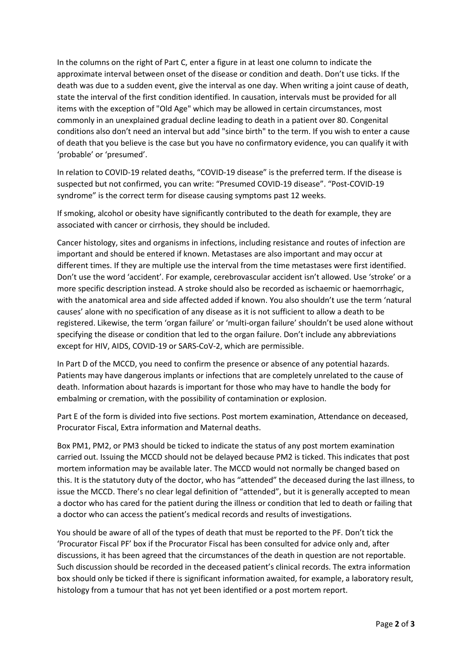In the columns on the right of Part C, enter a figure in at least one column to indicate the approximate interval between onset of the disease or condition and death. Don't use ticks. If the death was due to a sudden event, give the interval as one day. When writing a joint cause of death, state the interval of the first condition identified. In causation, intervals must be provided for all items with the exception of "Old Age" which may be allowed in certain circumstances, most commonly in an unexplained gradual decline leading to death in a patient over 80. Congenital conditions also don't need an interval but add "since birth" to the term. If you wish to enter a cause of death that you believe is the case but you have no confirmatory evidence, you can qualify it with 'probable' or 'presumed'.

In relation to COVID-19 related deaths, "COVID-19 disease" is the preferred term. If the disease is suspected but not confirmed, you can write: "Presumed COVID-19 disease". "Post-COVID-19 syndrome" is the correct term for disease causing symptoms past 12 weeks.

If smoking, alcohol or obesity have significantly contributed to the death for example, they are associated with cancer or cirrhosis, they should be included.

Cancer histology, sites and organisms in infections, including resistance and routes of infection are important and should be entered if known. Metastases are also important and may occur at different times. If they are multiple use the interval from the time metastases were first identified. Don't use the word 'accident'. For example, cerebrovascular accident isn't allowed. Use 'stroke' or a more specific description instead. A stroke should also be recorded as ischaemic or haemorrhagic, with the anatomical area and side affected added if known. You also shouldn't use the term 'natural causes' alone with no specification of any disease as it is not sufficient to allow a death to be registered. Likewise, the term 'organ failure' or 'multi-organ failure' shouldn't be used alone without specifying the disease or condition that led to the organ failure. Don't include any abbreviations except for HIV, AIDS, COVID-19 or SARS-CoV-2, which are permissible.

In Part D of the MCCD, you need to confirm the presence or absence of any potential hazards. Patients may have dangerous implants or infections that are completely unrelated to the cause of death. Information about hazards is important for those who may have to handle the body for embalming or cremation, with the possibility of contamination or explosion.

Part E of the form is divided into five sections. Post mortem examination, Attendance on deceased, Procurator Fiscal, Extra information and Maternal deaths.

Box PM1, PM2, or PM3 should be ticked to indicate the status of any post mortem examination carried out. Issuing the MCCD should not be delayed because PM2 is ticked. This indicates that post mortem information may be available later. The MCCD would not normally be changed based on this. It is the statutory duty of the doctor, who has "attended" the deceased during the last illness, to issue the MCCD. There's no clear legal definition of "attended", but it is generally accepted to mean a doctor who has cared for the patient during the illness or condition that led to death or failing that a doctor who can access the patient's medical records and results of investigations.

You should be aware of all of the types of death that must be reported to the PF. Don't tick the 'Procurator Fiscal PF' box if the Procurator Fiscal has been consulted for advice only and, after discussions, it has been agreed that the circumstances of the death in question are not reportable. Such discussion should be recorded in the deceased patient's clinical records. The extra information box should only be ticked if there is significant information awaited, for example, a laboratory result, histology from a tumour that has not yet been identified or a post mortem report.